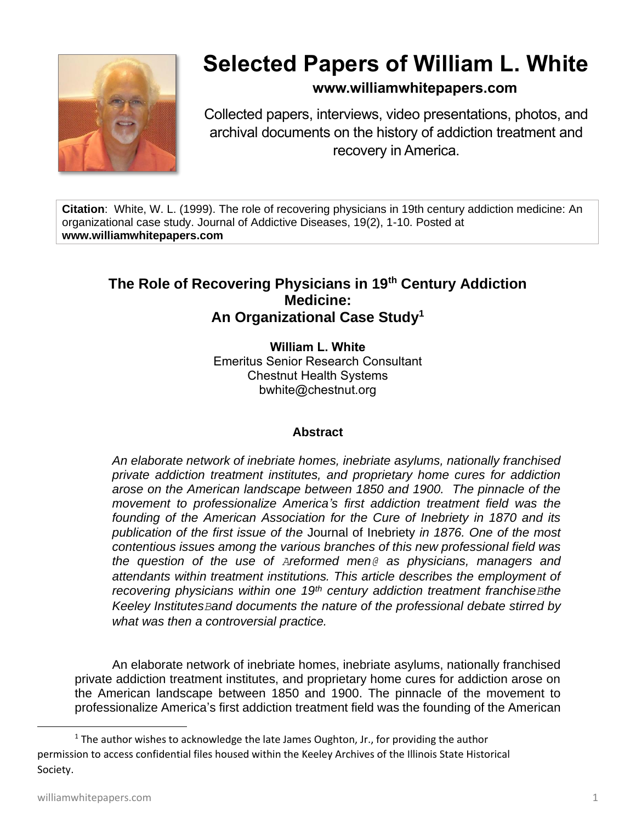

# **Selected Papers of William L. White**

# **www.williamwhitepapers.com**

Collected papers, interviews, video presentations, photos, and archival documents on the history of addiction treatment and recovery in America.

**Citation**: White, W. L. (1999). The role of recovering physicians in 19th century addiction medicine: An organizational case study. Journal of Addictive Diseases, 19(2), 1-10. Posted at **www.williamwhitepapers.com**

# **The Role of Recovering Physicians in 19th Century Addiction Medicine: An Organizational Case Study<sup>1</sup>**

**William L. White** Emeritus Senior Research Consultant Chestnut Health Systems bwhite@chestnut.org

## **Abstract**

*An elaborate network of inebriate homes, inebriate asylums, nationally franchised private addiction treatment institutes, and proprietary home cures for addiction arose on the American landscape between 1850 and 1900. The pinnacle of the movement to professionalize America's first addiction treatment field was the founding of the American Association for the Cure of Inebriety in 1870 and its publication of the first issue of the* Journal of Inebriety *in 1876. One of the most contentious issues among the various branches of this new professional field was the question of the use of Areformed men@ as physicians, managers and attendants within treatment institutions. This article describes the employment of recovering physicians within one 19th century addiction treatment franchiseBthe Keeley InstitutesBand documents the nature of the professional debate stirred by what was then a controversial practice.*

An elaborate network of inebriate homes, inebriate asylums, nationally franchised private addiction treatment institutes, and proprietary home cures for addiction arose on the American landscape between 1850 and 1900. The pinnacle of the movement to professionalize America's first addiction treatment field was the founding of the American

 $1$  The author wishes to acknowledge the late James Oughton, Jr., for providing the author permission to access confidential files housed within the Keeley Archives of the Illinois State Historical Society.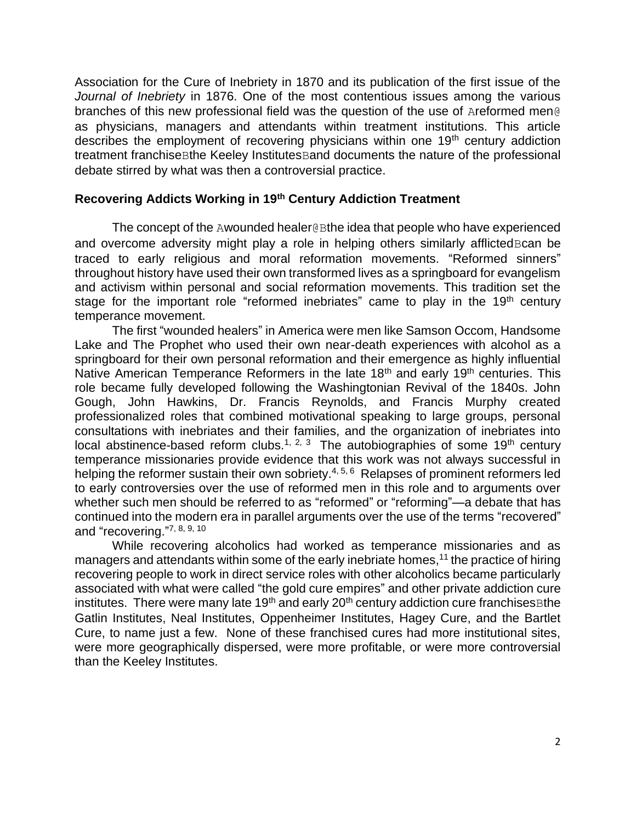Association for the Cure of Inebriety in 1870 and its publication of the first issue of the *Journal of Inebriety* in 1876. One of the most contentious issues among the various branches of this new professional field was the question of the use of Areformed men@ as physicians, managers and attendants within treatment institutions. This article describes the employment of recovering physicians within one 19<sup>th</sup> century addiction treatment franchiseBthe Keeley InstitutesBand documents the nature of the professional debate stirred by what was then a controversial practice.

#### **Recovering Addicts Working in 19th Century Addiction Treatment**

The concept of the Awounded healer@Bthe idea that people who have experienced and overcome adversity might play a role in helping others similarly afflicted Bcan be traced to early religious and moral reformation movements. "Reformed sinners" throughout history have used their own transformed lives as a springboard for evangelism and activism within personal and social reformation movements. This tradition set the stage for the important role "reformed inebriates" came to play in the 19<sup>th</sup> century temperance movement.

The first "wounded healers" in America were men like Samson Occom, Handsome Lake and The Prophet who used their own near-death experiences with alcohol as a springboard for their own personal reformation and their emergence as highly influential Native American Temperance Reformers in the late 18<sup>th</sup> and early 19<sup>th</sup> centuries. This role became fully developed following the Washingtonian Revival of the 1840s. John Gough, John Hawkins, Dr. Francis Reynolds, and Francis Murphy created professionalized roles that combined motivational speaking to large groups, personal consultations with inebriates and their families, and the organization of inebriates into local abstinence-based reform clubs.<sup>1, 2, 3</sup> The autobiographies of some 19<sup>th</sup> century temperance missionaries provide evidence that this work was not always successful in helping the reformer sustain their own sobriety.<sup>4, 5, 6</sup> Relapses of prominent reformers led to early controversies over the use of reformed men in this role and to arguments over whether such men should be referred to as "reformed" or "reforming"—a debate that has continued into the modern era in parallel arguments over the use of the terms "recovered" and "recovering."<sup>7, 8, 9, 10</sup>

While recovering alcoholics had worked as temperance missionaries and as managers and attendants within some of the early inebriate homes,<sup>11</sup> the practice of hiring recovering people to work in direct service roles with other alcoholics became particularly associated with what were called "the gold cure empires" and other private addiction cure institutes. There were many late 19<sup>th</sup> and early 20<sup>th</sup> century addiction cure franchises Bthe Gatlin Institutes, Neal Institutes, Oppenheimer Institutes, Hagey Cure, and the Bartlet Cure, to name just a few. None of these franchised cures had more institutional sites, were more geographically dispersed, were more profitable, or were more controversial than the Keeley Institutes.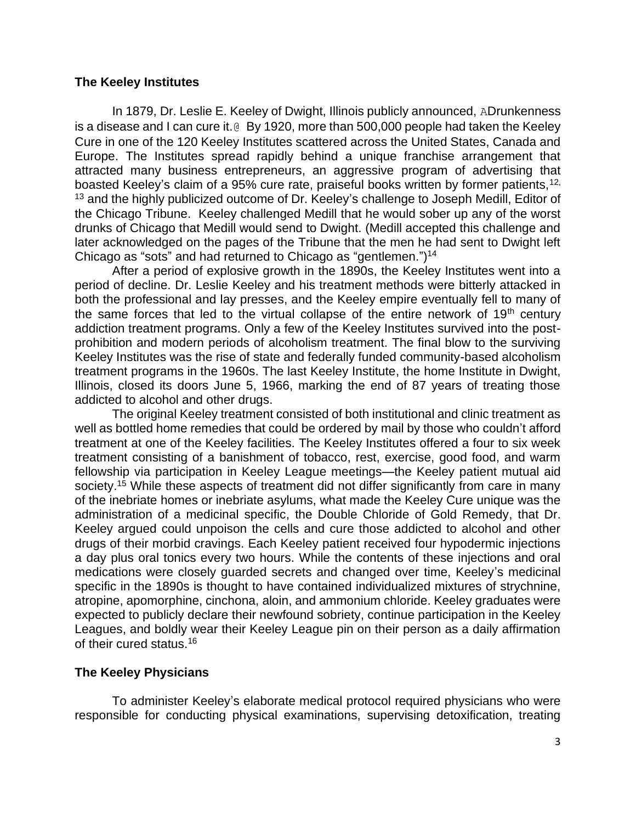#### **The Keeley Institutes**

In 1879, Dr. Leslie E. Keeley of Dwight, Illinois publicly announced, ADrunkenness is a disease and I can cure it.  $@$  By 1920, more than 500,000 people had taken the Keeley Cure in one of the 120 Keeley Institutes scattered across the United States, Canada and Europe. The Institutes spread rapidly behind a unique franchise arrangement that attracted many business entrepreneurs, an aggressive program of advertising that boasted Keeley's claim of a 95% cure rate, praiseful books written by former patients, <sup>12,</sup> <sup>13</sup> and the highly publicized outcome of Dr. Keeley's challenge to Joseph Medill, Editor of the Chicago Tribune. Keeley challenged Medill that he would sober up any of the worst drunks of Chicago that Medill would send to Dwight. (Medill accepted this challenge and later acknowledged on the pages of the Tribune that the men he had sent to Dwight left Chicago as "sots" and had returned to Chicago as "gentlemen.") 14

After a period of explosive growth in the 1890s, the Keeley Institutes went into a period of decline. Dr. Leslie Keeley and his treatment methods were bitterly attacked in both the professional and lay presses, and the Keeley empire eventually fell to many of the same forces that led to the virtual collapse of the entire network of  $19<sup>th</sup>$  century addiction treatment programs. Only a few of the Keeley Institutes survived into the postprohibition and modern periods of alcoholism treatment. The final blow to the surviving Keeley Institutes was the rise of state and federally funded community-based alcoholism treatment programs in the 1960s. The last Keeley Institute, the home Institute in Dwight, Illinois, closed its doors June 5, 1966, marking the end of 87 years of treating those addicted to alcohol and other drugs.

The original Keeley treatment consisted of both institutional and clinic treatment as well as bottled home remedies that could be ordered by mail by those who couldn't afford treatment at one of the Keeley facilities. The Keeley Institutes offered a four to six week treatment consisting of a banishment of tobacco, rest, exercise, good food, and warm fellowship via participation in Keeley League meetings—the Keeley patient mutual aid society.<sup>15</sup> While these aspects of treatment did not differ significantly from care in many of the inebriate homes or inebriate asylums, what made the Keeley Cure unique was the administration of a medicinal specific, the Double Chloride of Gold Remedy, that Dr. Keeley argued could unpoison the cells and cure those addicted to alcohol and other drugs of their morbid cravings. Each Keeley patient received four hypodermic injections a day plus oral tonics every two hours. While the contents of these injections and oral medications were closely guarded secrets and changed over time, Keeley's medicinal specific in the 1890s is thought to have contained individualized mixtures of strychnine, atropine, apomorphine, cinchona, aloin, and ammonium chloride. Keeley graduates were expected to publicly declare their newfound sobriety, continue participation in the Keeley Leagues, and boldly wear their Keeley League pin on their person as a daily affirmation of their cured status.<sup>16</sup>

#### **The Keeley Physicians**

To administer Keeley's elaborate medical protocol required physicians who were responsible for conducting physical examinations, supervising detoxification, treating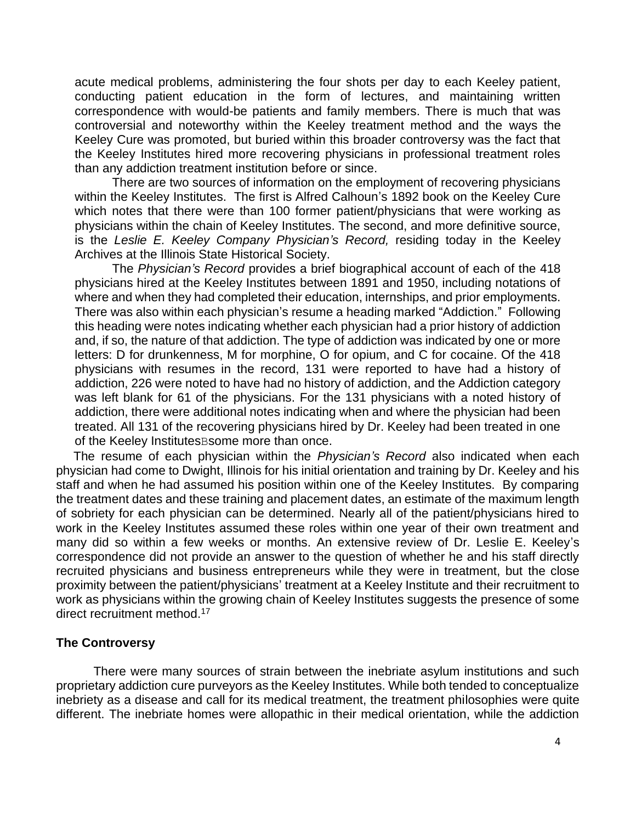acute medical problems, administering the four shots per day to each Keeley patient, conducting patient education in the form of lectures, and maintaining written correspondence with would-be patients and family members. There is much that was controversial and noteworthy within the Keeley treatment method and the ways the Keeley Cure was promoted, but buried within this broader controversy was the fact that the Keeley Institutes hired more recovering physicians in professional treatment roles than any addiction treatment institution before or since.

There are two sources of information on the employment of recovering physicians within the Keeley Institutes. The first is Alfred Calhoun's 1892 book on the Keeley Cure which notes that there were than 100 former patient/physicians that were working as physicians within the chain of Keeley Institutes. The second, and more definitive source, is the *Leslie E. Keeley Company Physician's Record,* residing today in the Keeley Archives at the Illinois State Historical Society.

The *Physician's Record* provides a brief biographical account of each of the 418 physicians hired at the Keeley Institutes between 1891 and 1950, including notations of where and when they had completed their education, internships, and prior employments. There was also within each physician's resume a heading marked "Addiction." Following this heading were notes indicating whether each physician had a prior history of addiction and, if so, the nature of that addiction. The type of addiction was indicated by one or more letters: D for drunkenness, M for morphine, O for opium, and C for cocaine. Of the 418 physicians with resumes in the record, 131 were reported to have had a history of addiction, 226 were noted to have had no history of addiction, and the Addiction category was left blank for 61 of the physicians. For the 131 physicians with a noted history of addiction, there were additional notes indicating when and where the physician had been treated. All 131 of the recovering physicians hired by Dr. Keeley had been treated in one of the Keeley InstitutesBsome more than once.

 The resume of each physician within the *Physician's Record* also indicated when each physician had come to Dwight, Illinois for his initial orientation and training by Dr. Keeley and his staff and when he had assumed his position within one of the Keeley Institutes. By comparing the treatment dates and these training and placement dates, an estimate of the maximum length of sobriety for each physician can be determined. Nearly all of the patient/physicians hired to work in the Keeley Institutes assumed these roles within one year of their own treatment and many did so within a few weeks or months. An extensive review of Dr. Leslie E. Keeley's correspondence did not provide an answer to the question of whether he and his staff directly recruited physicians and business entrepreneurs while they were in treatment, but the close proximity between the patient/physicians' treatment at a Keeley Institute and their recruitment to work as physicians within the growing chain of Keeley Institutes suggests the presence of some direct recruitment method.<sup>17</sup>

#### **The Controversy**

There were many sources of strain between the inebriate asylum institutions and such proprietary addiction cure purveyors as the Keeley Institutes. While both tended to conceptualize inebriety as a disease and call for its medical treatment, the treatment philosophies were quite different. The inebriate homes were allopathic in their medical orientation, while the addiction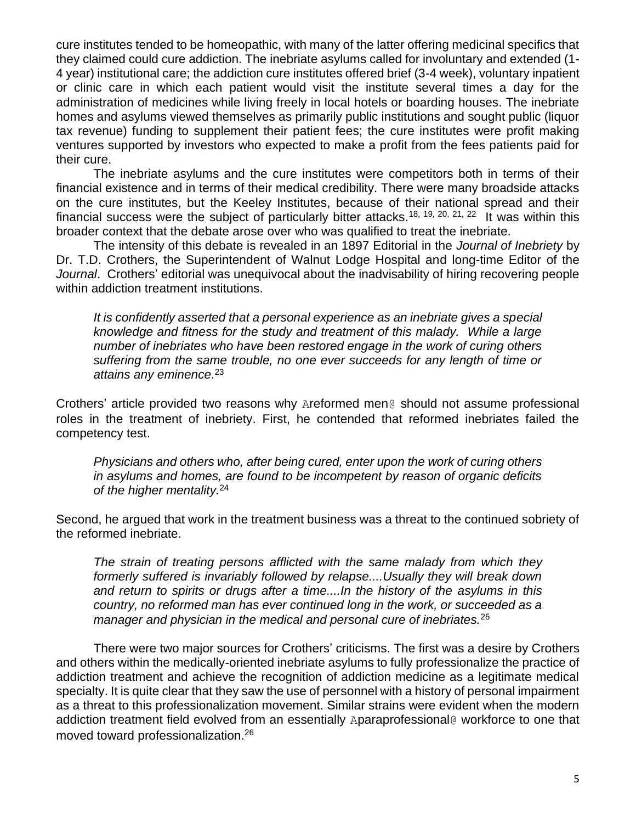cure institutes tended to be homeopathic, with many of the latter offering medicinal specifics that they claimed could cure addiction. The inebriate asylums called for involuntary and extended (1- 4 year) institutional care; the addiction cure institutes offered brief (3-4 week), voluntary inpatient or clinic care in which each patient would visit the institute several times a day for the administration of medicines while living freely in local hotels or boarding houses. The inebriate homes and asylums viewed themselves as primarily public institutions and sought public (liquor tax revenue) funding to supplement their patient fees; the cure institutes were profit making ventures supported by investors who expected to make a profit from the fees patients paid for their cure.

The inebriate asylums and the cure institutes were competitors both in terms of their financial existence and in terms of their medical credibility. There were many broadside attacks on the cure institutes, but the Keeley Institutes, because of their national spread and their financial success were the subject of particularly bitter attacks.<sup>18, 19, 20, 21, 22</sup> It was within this broader context that the debate arose over who was qualified to treat the inebriate.

The intensity of this debate is revealed in an 1897 Editorial in the *Journal of Inebriety* by Dr. T.D. Crothers, the Superintendent of Walnut Lodge Hospital and long-time Editor of the *Journal*. Crothers' editorial was unequivocal about the inadvisability of hiring recovering people within addiction treatment institutions.

*It is confidently asserted that a personal experience as an inebriate gives a special knowledge and fitness for the study and treatment of this malady. While a large number of inebriates who have been restored engage in the work of curing others suffering from the same trouble, no one ever succeeds for any length of time or attains any eminence.*<sup>23</sup>

Crothers' article provided two reasons why Areformed men@ should not assume professional roles in the treatment of inebriety. First, he contended that reformed inebriates failed the competency test.

*Physicians and others who, after being cured, enter upon the work of curing others in asylums and homes, are found to be incompetent by reason of organic deficits of the higher mentality.*<sup>24</sup>

Second, he argued that work in the treatment business was a threat to the continued sobriety of the reformed inebriate.

*The strain of treating persons afflicted with the same malady from which they formerly suffered is invariably followed by relapse....Usually they will break down and return to spirits or drugs after a time....In the history of the asylums in this country, no reformed man has ever continued long in the work, or succeeded as a manager and physician in the medical and personal cure of inebriates.*<sup>25</sup>

There were two major sources for Crothers' criticisms. The first was a desire by Crothers and others within the medically-oriented inebriate asylums to fully professionalize the practice of addiction treatment and achieve the recognition of addiction medicine as a legitimate medical specialty. It is quite clear that they saw the use of personnel with a history of personal impairment as a threat to this professionalization movement. Similar strains were evident when the modern addiction treatment field evolved from an essentially Aparaprofessional@ workforce to one that moved toward professionalization.26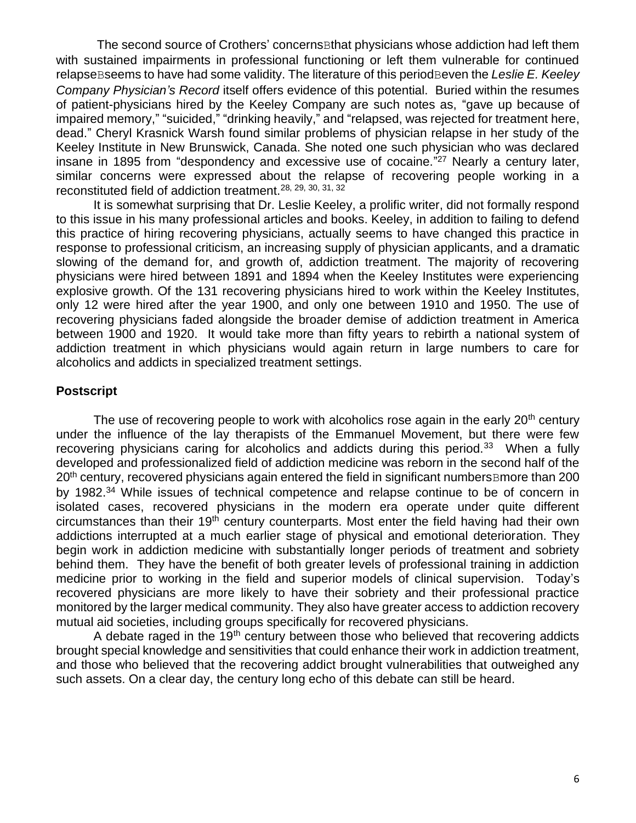The second source of Crothers' concerns Bthat physicians whose addiction had left them with sustained impairments in professional functioning or left them vulnerable for continued relapseBseems to have had some validity. The literature of this periodBeven the Leslie E. Keeley *Company Physician's Record* itself offers evidence of this potential. Buried within the resumes of patient-physicians hired by the Keeley Company are such notes as, "gave up because of impaired memory," "suicided," "drinking heavily," and "relapsed, was rejected for treatment here, dead." Cheryl Krasnick Warsh found similar problems of physician relapse in her study of the Keeley Institute in New Brunswick, Canada. She noted one such physician who was declared insane in 1895 from "despondency and excessive use of cocaine."<sup>27</sup> Nearly a century later, similar concerns were expressed about the relapse of recovering people working in a reconstituted field of addiction treatment.28, 29, 30, 31, 32

It is somewhat surprising that Dr. Leslie Keeley, a prolific writer, did not formally respond to this issue in his many professional articles and books. Keeley, in addition to failing to defend this practice of hiring recovering physicians, actually seems to have changed this practice in response to professional criticism, an increasing supply of physician applicants, and a dramatic slowing of the demand for, and growth of, addiction treatment. The majority of recovering physicians were hired between 1891 and 1894 when the Keeley Institutes were experiencing explosive growth. Of the 131 recovering physicians hired to work within the Keeley Institutes, only 12 were hired after the year 1900, and only one between 1910 and 1950. The use of recovering physicians faded alongside the broader demise of addiction treatment in America between 1900 and 1920. It would take more than fifty years to rebirth a national system of addiction treatment in which physicians would again return in large numbers to care for alcoholics and addicts in specialized treatment settings.

## **Postscript**

The use of recovering people to work with alcoholics rose again in the early 20<sup>th</sup> century under the influence of the lay therapists of the Emmanuel Movement, but there were few recovering physicians caring for alcoholics and addicts during this period.<sup>33</sup> When a fully developed and professionalized field of addiction medicine was reborn in the second half of the 20<sup>th</sup> century, recovered physicians again entered the field in significant numbersBmore than 200 by 1982.<sup>34</sup> While issues of technical competence and relapse continue to be of concern in isolated cases, recovered physicians in the modern era operate under quite different circumstances than their 19<sup>th</sup> century counterparts. Most enter the field having had their own addictions interrupted at a much earlier stage of physical and emotional deterioration. They begin work in addiction medicine with substantially longer periods of treatment and sobriety behind them. They have the benefit of both greater levels of professional training in addiction medicine prior to working in the field and superior models of clinical supervision. Today's recovered physicians are more likely to have their sobriety and their professional practice monitored by the larger medical community. They also have greater access to addiction recovery mutual aid societies, including groups specifically for recovered physicians.

A debate raged in the  $19<sup>th</sup>$  century between those who believed that recovering addicts brought special knowledge and sensitivities that could enhance their work in addiction treatment, and those who believed that the recovering addict brought vulnerabilities that outweighed any such assets. On a clear day, the century long echo of this debate can still be heard.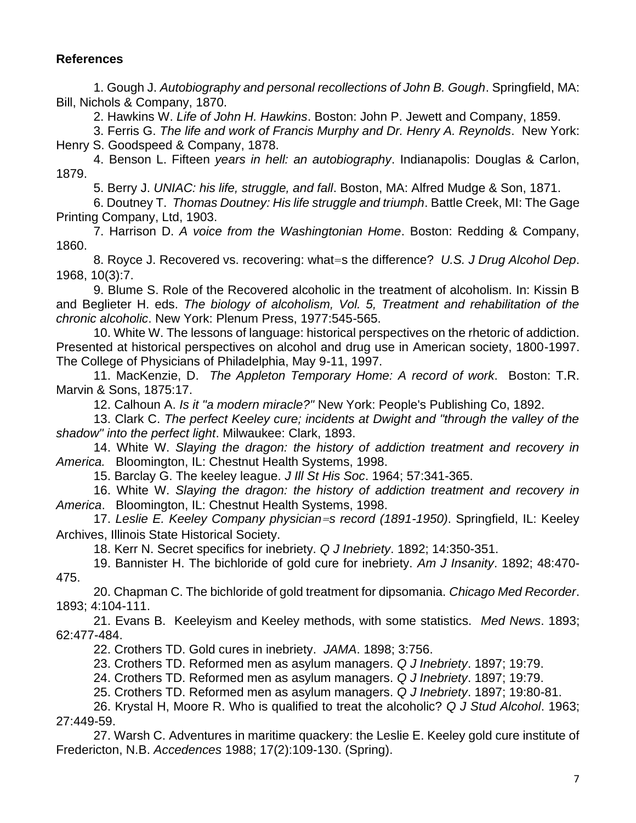## **References**

1. Gough J. *Autobiography and personal recollections of John B. Gough*. Springfield, MA: Bill, Nichols & Company, 1870.

2. Hawkins W. *Life of John H. Hawkins*. Boston: John P. Jewett and Company, 1859.

3. Ferris G. *The life and work of Francis Murphy and Dr. Henry A. Reynolds*. New York: Henry S. Goodspeed & Company, 1878.

4. Benson L. Fifteen *years in hell: an autobiography*. Indianapolis: Douglas & Carlon, 1879.

5. Berry J. *UNIAC: his life, struggle, and fall*. Boston, MA: Alfred Mudge & Son, 1871.

6. Doutney T. *Thomas Doutney: His life struggle and triumph*. Battle Creek, MI: The Gage Printing Company, Ltd, 1903.

7. Harrison D. *A voice from the Washingtonian Home*. Boston: Redding & Company, 1860.

8. Royce J. Recovered vs. recovering: what=s the difference? *U.S. J Drug Alcohol Dep*. 1968, 10(3):7.

9. Blume S. Role of the Recovered alcoholic in the treatment of alcoholism. In: Kissin B and Beglieter H. eds. *The biology of alcoholism, Vol. 5, Treatment and rehabilitation of the chronic alcoholic*. New York: Plenum Press, 1977:545-565.

10. White W. The lessons of language: historical perspectives on the rhetoric of addiction. Presented at historical perspectives on alcohol and drug use in American society, 1800-1997. The College of Physicians of Philadelphia, May 9-11, 1997.

11. MacKenzie, D. *The Appleton Temporary Home: A record of work*. Boston: T.R. Marvin & Sons, 1875:17.

12. Calhoun A. *Is it "a modern miracle?"* New York: People's Publishing Co, 1892.

13. Clark C. *The perfect Keeley cure; incidents at Dwight and "through the valley of the shadow" into the perfect light*. Milwaukee: Clark, 1893.

14. White W. *Slaying the dragon: the history of addiction treatment and recovery in America.* Bloomington, IL: Chestnut Health Systems, 1998.

15. Barclay G. The keeley league. *J Ill St His Soc*. 1964; 57:341-365.

16. White W. *Slaying the dragon: the history of addiction treatment and recovery in America*. Bloomington, IL: Chestnut Health Systems, 1998.

17. *Leslie E. Keeley Company physician=s record (1891-1950)*. Springfield, IL: Keeley Archives, Illinois State Historical Society.

18. Kerr N. Secret specifics for inebriety. *Q J Inebriety*. 1892; 14:350-351.

19. Bannister H. The bichloride of gold cure for inebriety. *Am J Insanity*. 1892; 48:470- 475.

20. Chapman C. The bichloride of gold treatment for dipsomania. *Chicago Med Recorder*. 1893; 4:104-111.

21. Evans B. Keeleyism and Keeley methods, with some statistics. *Med News*. 1893; 62:477-484.

22. Crothers TD. Gold cures in inebriety. *JAMA*. 1898; 3:756.

23. Crothers TD. Reformed men as asylum managers. *Q J Inebriety*. 1897; 19:79.

24. Crothers TD. Reformed men as asylum managers. *Q J Inebriety*. 1897; 19:79.

25. Crothers TD. Reformed men as asylum managers. *Q J Inebriety*. 1897; 19:80-81.

26. Krystal H, Moore R. Who is qualified to treat the alcoholic? *Q J Stud Alcohol*. 1963; 27:449-59.

27. Warsh C. Adventures in maritime quackery: the Leslie E. Keeley gold cure institute of Fredericton, N.B. *Accedences* 1988; 17(2):109-130. (Spring).